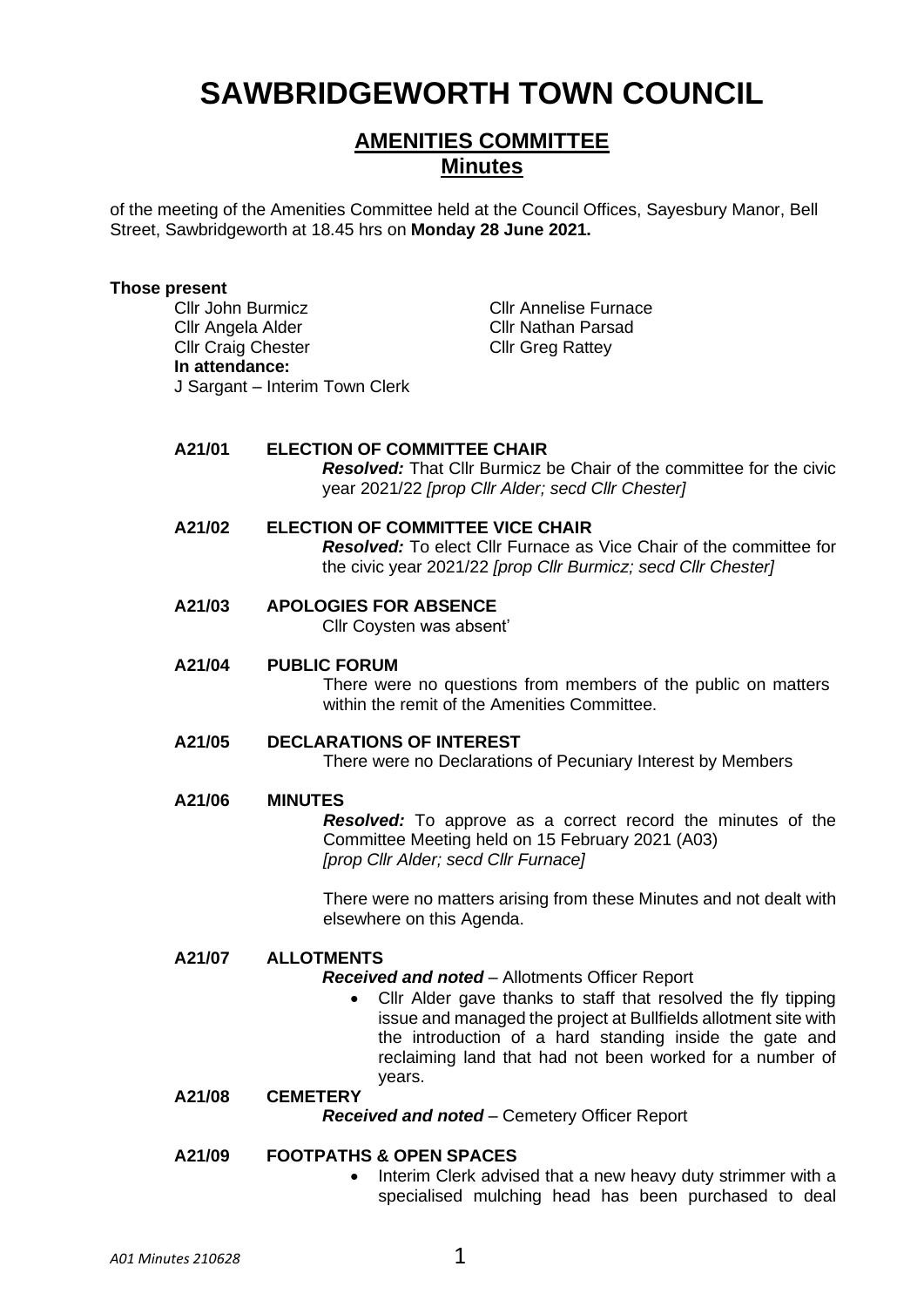# **SAWBRIDGEWORTH TOWN COUNCIL**

## **AMENITIES COMMITTEE Minutes**

of the meeting of the Amenities Committee held at the Council Offices, Sayesbury Manor, Bell Street, Sawbridgeworth at 18.45 hrs on **Monday 28 June 2021.**

#### **Those present**

Cllr John Burmicz Cllr Annelise Furnace Cllr Angela Alder Cllr Nathan Parsad Cllr Craig Chester Cllr Greg Rattey **In attendance:** J Sargant – Interim Town Clerk

#### **A21/01 ELECTION OF COMMITTEE CHAIR**

*Resolved:* That Cllr Burmicz be Chair of the committee for the civic year 2021/22 *[prop Cllr Alder; secd Cllr Chester]*

### **A21/02 ELECTION OF COMMITTEE VICE CHAIR** *Resolved:* To elect Cllr Furnace as Vice Chair of the committee for the civic year 2021/22 *[prop Cllr Burmicz; secd Cllr Chester]*

**A21/03 APOLOGIES FOR ABSENCE**

Cllr Coysten was absent'

## **A21/04 PUBLIC FORUM**

There were no questions from members of the public on matters within the remit of the Amenities Committee.

## **A21/05 DECLARATIONS OF INTEREST**

There were no Declarations of Pecuniary Interest by Members

### **A21/06 MINUTES**

*Resolved:* To approve as a correct record the minutes of the Committee Meeting held on 15 February 2021 (A03) *[prop Cllr Alder; secd Cllr Furnace]*

There were no matters arising from these Minutes and not dealt with elsewhere on this Agenda.

### **A21/07 ALLOTMENTS**

*Received and noted* – Allotments Officer Report

• Cllr Alder gave thanks to staff that resolved the fly tipping issue and managed the project at Bullfields allotment site with the introduction of a hard standing inside the gate and reclaiming land that had not been worked for a number of years.

## **A21/08 CEMETERY**

*Received and noted* – Cemetery Officer Report

## **A21/09 FOOTPATHS & OPEN SPACES**

• Interim Clerk advised that a new heavy duty strimmer with a specialised mulching head has been purchased to deal